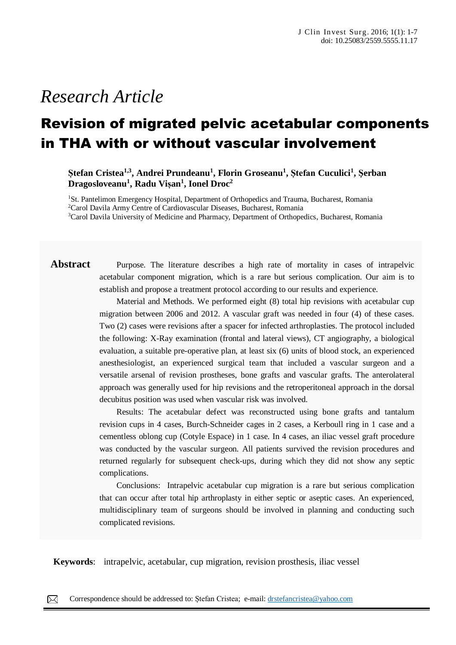# *Research Article*

## Revision of migrated pelvic acetabular components in THA with or without vascular involvement

**Ștefan Cristea1,3 , Andrei Prundeanu<sup>1</sup> , Florin Groseanu<sup>1</sup> , Ștefan Cuculici<sup>1</sup> , Şerban Dragosloveanu<sup>1</sup> , Radu Vișan<sup>1</sup> , Ionel Droc<sup>2</sup>**

<sup>1</sup>St. Pantelimon Emergency Hospital, Department of Orthopedics and Trauma, Bucharest, Romania <sup>2</sup>Carol Davila Army Centre of Cardiovascular Diseases, Bucharest, Romania <sup>3</sup>Carol Davila University of Medicine and Pharmacy, Department of Orthopedics, Bucharest, Romania

**Abstract** Purpose. The literature describes a high rate of mortality in cases of intrapelvic acetabular component migration, which is a rare but serious complication. Our aim is to establish and propose a treatment protocol according to our results and experience.

> Material and Methods. We performed eight (8) total hip revisions with acetabular cup migration between 2006 and 2012. A vascular graft was needed in four (4) of these cases. Two (2) cases were revisions after a spacer for infected arthroplasties. The protocol included the following: X-Ray examination (frontal and lateral views), CT angiography, a biological evaluation, a suitable pre-operative plan, at least six (6) units of blood stock, an experienced anesthesiologist, an experienced surgical team that included a vascular surgeon and a versatile arsenal of revision prostheses, bone grafts and vascular grafts. The anterolateral approach was generally used for hip revisions and the retroperitoneal approach in the dorsal decubitus position was used when vascular risk was involved.

> Results: The acetabular defect was reconstructed using bone grafts and tantalum revision cups in 4 cases, Burch-Schneider cages in 2 cases, a Kerboull ring in 1 case and a cementless oblong cup (Cotyle Espace) in 1 case. In 4 cases, an iliac vessel graft procedure was conducted by the vascular surgeon. All patients survived the revision procedures and returned regularly for subsequent check-ups, during which they did not show any septic complications.

> Conclusions: Intrapelvic acetabular cup migration is a rare but serious complication that can occur after total hip arthroplasty in either septic or aseptic cases. An experienced, multidisciplinary team of surgeons should be involved in planning and conducting such complicated revisions.

**Keywords**: intrapelvic, acetabular, cup migration, revision prosthesis, iliac vessel

Correspondence should be addressed to: Ștefan Cristea; e-mail[: drstefancristea@yahoo.com](mailto:drstefancristea@yahoo.com)  $\overline{\phantom{a}}$  rare, parameterized is a rare, seems of action,  $\overline{\phantom{a}}$  and  $\overline{\phantom{a}}$  comedones,  $\overline{\phantom{a}}$ 

⊠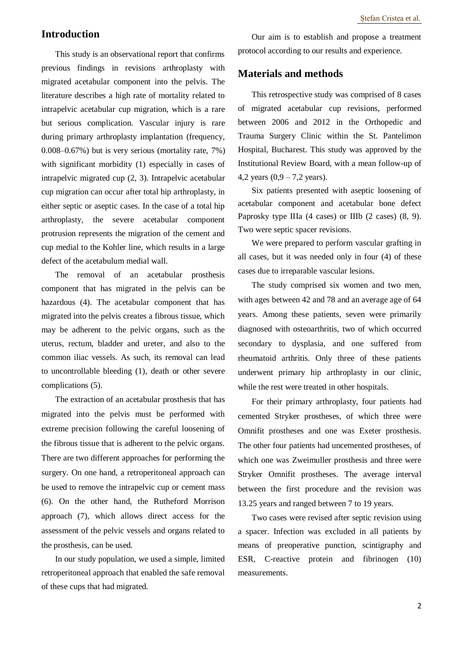## **Introduction**

This study is an observational report that confirms previous findings in revisions arthroplasty with migrated acetabular component into the pelvis. The literature describes a high rate of mortality related to intrapelvic acetabular cup migration, which is a rare but serious complication. Vascular injury is rare during primary arthroplasty implantation (frequency, 0.008–0.67%) but is very serious (mortality rate, 7%) with significant morbidity (1) especially in cases of intrapelvic migrated cup (2, 3). Intrapelvic acetabular cup migration can occur after total hip arthroplasty, in either septic or aseptic cases. In the case of a total hip arthroplasty, the severe acetabular component protrusion represents the migration of the cement and cup medial to the Kohler line, which results in a large defect of the acetabulum medial wall.

The removal of an acetabular prosthesis component that has migrated in the pelvis can be hazardous (4). The acetabular component that has migrated into the pelvis creates a fibrous tissue, which may be adherent to the pelvic organs, such as the uterus, rectum, bladder and ureter, and also to the common iliac vessels. As such, its removal can lead to uncontrollable bleeding (1), death or other severe complications (5).

The extraction of an acetabular prosthesis that has migrated into the pelvis must be performed with extreme precision following the careful loosening of the fibrous tissue that is adherent to the pelvic organs. There are two different approaches for performing the surgery. On one hand, a retroperitoneal approach can be used to remove the intrapelvic cup or cement mass (6). On the other hand, the Rutheford Morrison approach (7), which allows direct access for the assessment of the pelvic vessels and organs related to the prosthesis, can be used.

In our study population, we used a simple, limited retroperitoneal approach that enabled the safe removal of these cups that had migrated.

Our aim is to establish and propose a treatment protocol according to our results and experience.

## **Materials and methods**

This retrospective study was comprised of 8 cases of migrated acetabular cup revisions, performed between 2006 and 2012 in the Orthopedic and Trauma Surgery Clinic within the St. Pantelimon Hospital, Bucharest. This study was approved by the Institutional Review Board, with a mean follow-up of 4,2 years  $(0,9 - 7,2 \text{ years}).$ 

Six patients presented with aseptic loosening of acetabular component and acetabular bone defect Paprosky type IIIa (4 cases) or IIIb (2 cases) (8, 9). Two were septic spacer revisions.

We were prepared to perform vascular grafting in all cases, but it was needed only in four (4) of these cases due to irreparable vascular lesions.

The study comprised six women and two men, with ages between 42 and 78 and an average age of 64 years. Among these patients, seven were primarily diagnosed with osteoarthritis, two of which occurred secondary to dysplasia, and one suffered from rheumatoid arthritis. Only three of these patients underwent primary hip arthroplasty in our clinic, while the rest were treated in other hospitals.

For their primary arthroplasty, four patients had cemented Stryker prostheses, of which three were Omnifit prostheses and one was Exeter prosthesis. The other four patients had uncemented prostheses, of which one was Zweimuller prosthesis and three were Stryker Omnifit prostheses. The average interval between the first procedure and the revision was 13.25 years and ranged between 7 to 19 years.

Two cases were revised after septic revision using a spacer. Infection was excluded in all patients by means of preoperative punction, scintigraphy and ESR, C-reactive protein and fibrinogen (10) measurements.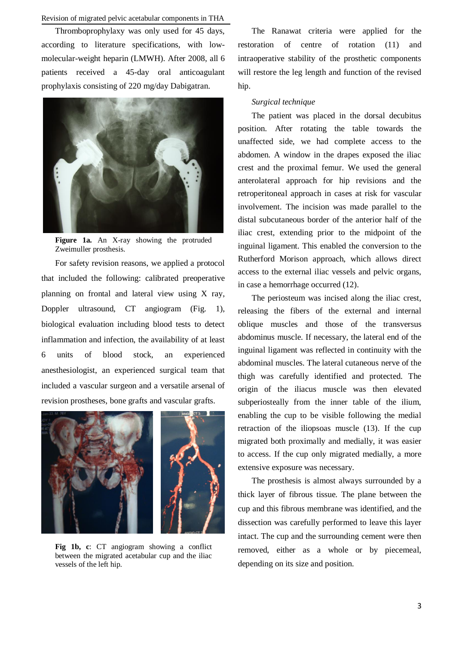### Revision of migrated pelvic acetabular components in THA

Thromboprophylaxy was only used for 45 days, according to literature specifications, with lowmolecular-weight heparin (LMWH). After 2008, all 6 patients received a 45-day oral anticoagulant prophylaxis consisting of 220 mg/day Dabigatran.



Figure 1a. An X-ray showing the protruded Zweimuller prosthesis.

For safety revision reasons, we applied a protocol that included the following: calibrated preoperative planning on frontal and lateral view using X ray, Doppler ultrasound, CT angiogram (Fig. 1), biological evaluation including blood tests to detect inflammation and infection, the availability of at least 6 units of blood stock, an experienced anesthesiologist, an experienced surgical team that included a vascular surgeon and a versatile arsenal of revision prostheses, bone grafts and vascular grafts.



**Fig 1b, c**: CT angiogram showing a conflict between the migrated acetabular cup and the iliac vessels of the left hip.

The Ranawat criteria were applied for the restoration of centre of rotation (11) and intraoperative stability of the prosthetic components will restore the leg length and function of the revised hip.

#### *Surgical technique*

The patient was placed in the dorsal decubitus position. After rotating the table towards the unaffected side, we had complete access to the abdomen. A window in the drapes exposed the iliac crest and the proximal femur. We used the general anterolateral approach for hip revisions and the retroperitoneal approach in cases at risk for vascular involvement. The incision was made parallel to the distal subcutaneous border of the anterior half of the iliac crest, extending prior to the midpoint of the inguinal ligament. This enabled the conversion to the Rutherford Morison approach, which allows direct access to the external iliac vessels and pelvic organs, in case a hemorrhage occurred (12).

The periosteum was incised along the iliac crest, releasing the fibers of the external and internal oblique muscles and those of the transversus abdominus muscle. If necessary, the lateral end of the inguinal ligament was reflected in continuity with the abdominal muscles. The lateral cutaneous nerve of the thigh was carefully identified and protected. The origin of the iliacus muscle was then elevated subperiosteally from the inner table of the ilium, enabling the cup to be visible following the medial retraction of the iliopsoas muscle (13). If the cup migrated both proximally and medially, it was easier to access. If the cup only migrated medially, a more extensive exposure was necessary.

The prosthesis is almost always surrounded by a thick layer of fibrous tissue. The plane between the cup and this fibrous membrane was identified, and the dissection was carefully performed to leave this layer intact. The cup and the surrounding cement were then removed, either as a whole or by piecemeal, depending on its size and position.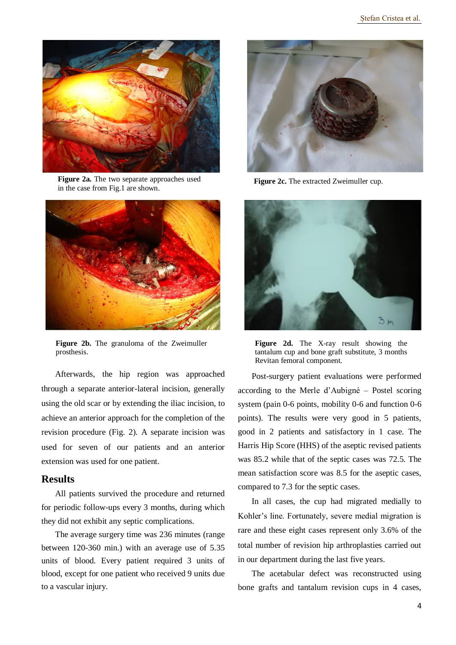

**Figure 2a.** The two separate approaches used in the case from Fig.1 are shown.



**Figure 2b.** The granuloma of the Zweimuller prosthesis.

Afterwards, the hip region was approached through a separate anterior-lateral incision, generally using the old scar or by extending the iliac incision, to achieve an anterior approach for the completion of the revision procedure (Fig. 2). A separate incision was used for seven of our patients and an anterior extension was used for one patient.

## **Results**

All patients survived the procedure and returned for periodic follow-ups every 3 months, during which they did not exhibit any septic complications.

The average surgery time was 236 minutes (range between 120-360 min.) with an average use of 5.35 units of blood. Every patient required 3 units of blood, except for one patient who received 9 units due to a vascular injury.



**Figure 2c.** The extracted Zweimuller cup.



**Figure 2d.** The X-ray result showing the tantalum cup and bone graft substitute, 3 months Revitan femoral component.

Post-surgery patient evaluations were performed according to the Merle d'Aubigné – Postel scoring system (pain 0-6 points, mobility 0-6 and function 0-6 points). The results were very good in 5 patients, good in 2 patients and satisfactory in 1 case. The Harris Hip Score (HHS) of the aseptic revised patients was 85.2 while that of the septic cases was 72.5. The mean satisfaction score was 8.5 for the aseptic cases, compared to 7.3 for the septic cases.

In all cases, the cup had migrated medially to Kohler's line. Fortunately, severe medial migration is rare and these eight cases represent only 3.6% of the total number of revision hip arthroplasties carried out in our department during the last five years.

The acetabular defect was reconstructed using bone grafts and tantalum revision cups in 4 cases,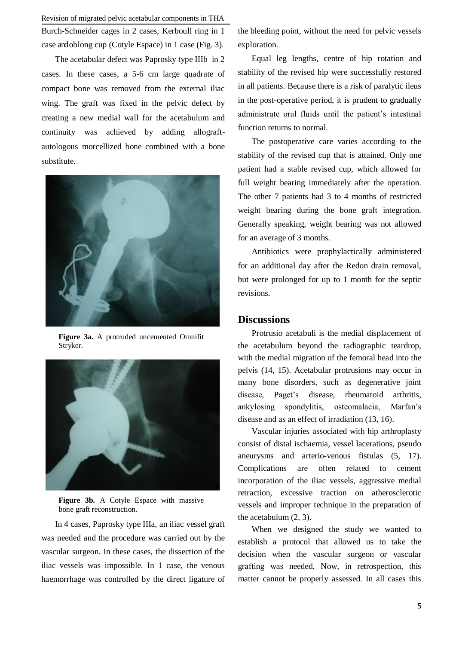Revision of migrated pelvic acetabular components in THA

Burch-Schneider cages in 2 cases, Kerboull ring in 1 case and oblong cup (Cotyle Espace) in 1 case (Fig. 3).

The acetabular defect was Paprosky type IIIb in 2 cases. In these cases, a 5-6 cm large quadrate of compact bone was removed from the external iliac wing. The graft was fixed in the pelvic defect by creating a new medial wall for the acetabulum and continuity was achieved by adding allograftautologous morcellized bone combined with a bone substitute.



**Figure 3a.** A protruded uncemented Omnifit Stryker.



Figure 3b. A Cotyle Espace with massive bone graft reconstruction.

In 4 cases, Paprosky type IIIa, an iliac vessel graft was needed and the procedure was carried out by the vascular surgeon. In these cases, the dissection of the iliac vessels was impossible. In 1 case, the venous haemorrhage was controlled by the direct ligature of

the bleeding point, without the need for pelvic vessels exploration.

Equal leg lengths, centre of hip rotation and stability of the revised hip were successfully restored in all patients. Because there is a risk of paralytic ileus in the post-operative period, it is prudent to gradually administrate oral fluids until the patient's intestinal function returns to normal.

The postoperative care varies according to the stability of the revised cup that is attained. Only one patient had a stable revised cup, which allowed for full weight bearing immediately after the operation. The other 7 patients had 3 to 4 months of restricted weight bearing during the bone graft integration. Generally speaking, weight bearing was not allowed for an average of 3 months.

Antibiotics were prophylactically administered for an additional day after the Redon drain removal, but were prolonged for up to 1 month for the septic revisions.

## **Discussions**

Protrusio acetabuli is the medial displacement of the acetabulum beyond the radiographic teardrop, with the medial migration of the femoral head into the pelvis (14, 15). Acetabular protrusions may occur in many bone disorders, such as degenerative joint disease, Paget's disease, rheumatoid arthritis, ankylosing spondylitis, osteomalacia, Marfan's disease and as an effect of irradiation (13, 16).

Vascular injuries associated with hip arthroplasty consist of distal ischaemia, vessel lacerations, pseudo aneurysms and arterio-venous fistulas (5, 17). Complications are often related to cement incorporation of the iliac vessels, aggressive medial retraction, excessive traction on atherosclerotic vessels and improper technique in the preparation of the acetabulum (2, 3).

When we designed the study we wanted to establish a protocol that allowed us to take the decision when the vascular surgeon or vascular grafting was needed. Now, in retrospection, this matter cannot be properly assessed. In all cases this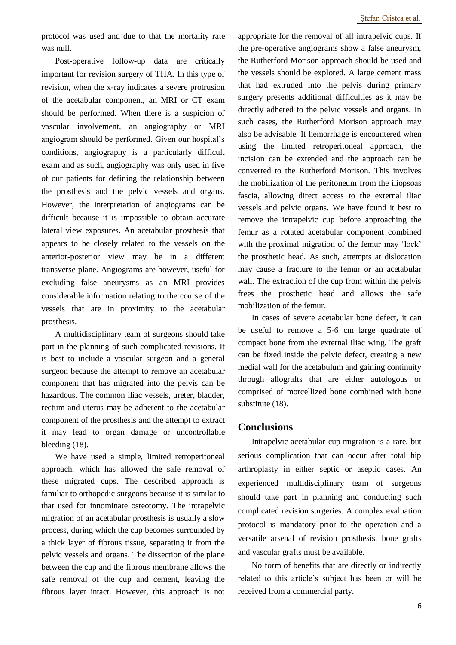protocol was used and due to that the mortality rate was null.

Post-operative follow-up data are critically important for revision surgery of THA. In this type of revision, when the x-ray indicates a severe protrusion of the acetabular component, an MRI or CT exam should be performed. When there is a suspicion of vascular involvement, an angiography or MRI angiogram should be performed. Given our hospital's conditions, angiography is a particularly difficult exam and as such, angiography was only used in five of our patients for defining the relationship between the prosthesis and the pelvic vessels and organs. However, the interpretation of angiograms can be difficult because it is impossible to obtain accurate lateral view exposures. An acetabular prosthesis that appears to be closely related to the vessels on the anterior-posterior view may be in a different transverse plane. Angiograms are however, useful for excluding false aneurysms as an MRI provides considerable information relating to the course of the vessels that are in proximity to the acetabular prosthesis.

A multidisciplinary team of surgeons should take part in the planning of such complicated revisions. It is best to include a vascular surgeon and a general surgeon because the attempt to remove an acetabular component that has migrated into the pelvis can be hazardous. The common iliac vessels, ureter, bladder, rectum and uterus may be adherent to the acetabular component of the prosthesis and the attempt to extract it may lead to organ damage or uncontrollable bleeding (18).

We have used a simple, limited retroperitoneal approach, which has allowed the safe removal of these migrated cups. The described approach is familiar to orthopedic surgeons because it is similar to that used for innominate osteotomy. The intrapelvic migration of an acetabular prosthesis is usually a slow process, during which the cup becomes surrounded by a thick layer of fibrous tissue, separating it from the pelvic vessels and organs. The dissection of the plane between the cup and the fibrous membrane allows the safe removal of the cup and cement, leaving the fibrous layer intact. However, this approach is not

appropriate for the removal of all intrapelvic cups. If the pre-operative angiograms show a false aneurysm, the Rutherford Morison approach should be used and the vessels should be explored. A large cement mass that had extruded into the pelvis during primary surgery presents additional difficulties as it may be directly adhered to the pelvic vessels and organs. In such cases, the Rutherford Morison approach may also be advisable. If hemorrhage is encountered when using the limited retroperitoneal approach, the incision can be extended and the approach can be converted to the Rutherford Morison. This involves the mobilization of the peritoneum from the iliopsoas fascia, allowing direct access to the external iliac vessels and pelvic organs. We have found it best to remove the intrapelvic cup before approaching the femur as a rotated acetabular component combined with the proximal migration of the femur may 'lock' the prosthetic head. As such, attempts at dislocation may cause a fracture to the femur or an acetabular wall. The extraction of the cup from within the pelvis frees the prosthetic head and allows the safe mobilization of the femur.

In cases of severe acetabular bone defect, it can be useful to remove a 5-6 cm large quadrate of compact bone from the external iliac wing. The graft can be fixed inside the pelvic defect, creating a new medial wall for the acetabulum and gaining continuity through allografts that are either autologous or comprised of morcellized bone combined with bone substitute (18).

## **Conclusions**

Intrapelvic acetabular cup migration is a rare, but serious complication that can occur after total hip arthroplasty in either septic or aseptic cases. An experienced multidisciplinary team of surgeons should take part in planning and conducting such complicated revision surgeries. A complex evaluation protocol is mandatory prior to the operation and a versatile arsenal of revision prosthesis, bone grafts and vascular grafts must be available.

No form of benefits that are directly or indirectly related to this article's subject has been or will be received from a commercial party.